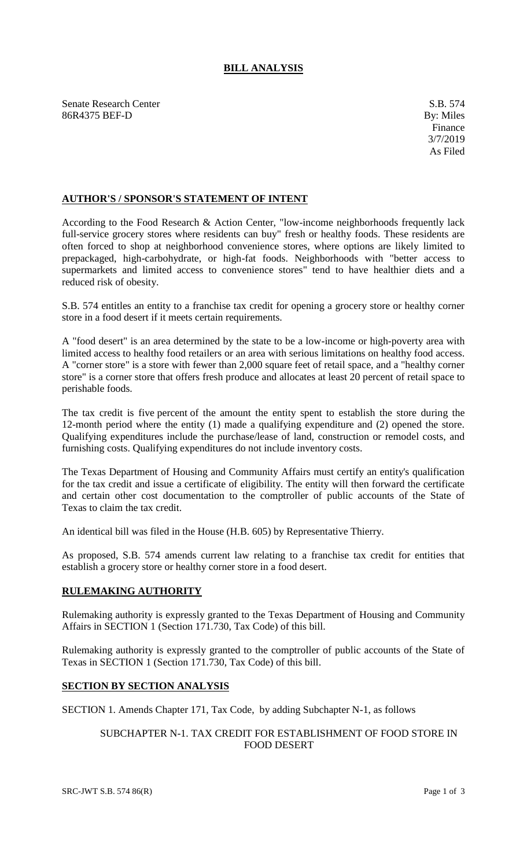# **BILL ANALYSIS**

Senate Research Center S.B. 574 86R4375 BEF-D By: Miles

## **AUTHOR'S / SPONSOR'S STATEMENT OF INTENT**

According to the Food Research & Action Center, "low-income neighborhoods frequently lack full-service grocery stores where residents can buy" fresh or healthy foods. These residents are often forced to shop at neighborhood convenience stores, where options are likely limited to prepackaged, high-carbohydrate, or high-fat foods. Neighborhoods with "better access to supermarkets and limited access to convenience stores" tend to have healthier diets and a reduced risk of obesity.

S.B. 574 entitles an entity to a franchise tax credit for opening a grocery store or healthy corner store in a food desert if it meets certain requirements.

A "food desert" is an area determined by the state to be a low-income or high-poverty area with limited access to healthy food retailers or an area with serious limitations on healthy food access. A "corner store" is a store with fewer than 2,000 square feet of retail space, and a "healthy corner store" is a corner store that offers fresh produce and allocates at least 20 percent of retail space to perishable foods.

The tax credit is five percent of the amount the entity spent to establish the store during the 12-month period where the entity (1) made a qualifying expenditure and (2) opened the store. Qualifying expenditures include the purchase/lease of land, construction or remodel costs, and furnishing costs. Qualifying expenditures do not include inventory costs.

The Texas Department of Housing and Community Affairs must certify an entity's qualification for the tax credit and issue a certificate of eligibility. The entity will then forward the certificate and certain other cost documentation to the comptroller of public accounts of the State of Texas to claim the tax credit.

An identical bill was filed in the House (H.B. 605) by Representative Thierry.

As proposed, S.B. 574 amends current law relating to a franchise tax credit for entities that establish a grocery store or healthy corner store in a food desert.

#### **RULEMAKING AUTHORITY**

Rulemaking authority is expressly granted to the Texas Department of Housing and Community Affairs in SECTION 1 (Section 171.730, Tax Code) of this bill.

Rulemaking authority is expressly granted to the comptroller of public accounts of the State of Texas in SECTION 1 (Section 171.730, Tax Code) of this bill.

### **SECTION BY SECTION ANALYSIS**

SECTION 1. Amends Chapter 171, Tax Code, by adding Subchapter N-1, as follows

### SUBCHAPTER N-1. TAX CREDIT FOR ESTABLISHMENT OF FOOD STORE IN FOOD DESERT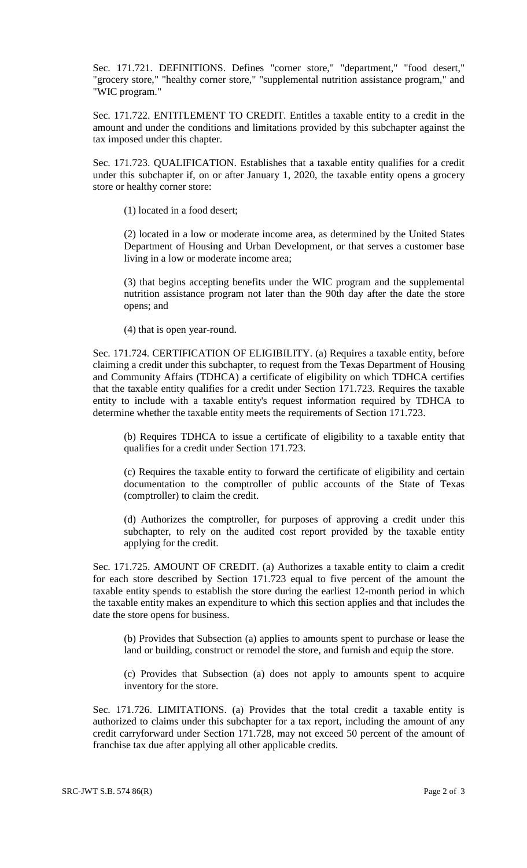Sec. 171.721. DEFINITIONS. Defines "corner store," "department," "food desert," "grocery store," "healthy corner store," "supplemental nutrition assistance program," and "WIC program."

Sec. 171.722. ENTITLEMENT TO CREDIT. Entitles a taxable entity to a credit in the amount and under the conditions and limitations provided by this subchapter against the tax imposed under this chapter.

Sec. 171.723. QUALIFICATION. Establishes that a taxable entity qualifies for a credit under this subchapter if, on or after January 1, 2020, the taxable entity opens a grocery store or healthy corner store:

(1) located in a food desert;

(2) located in a low or moderate income area, as determined by the United States Department of Housing and Urban Development, or that serves a customer base living in a low or moderate income area;

(3) that begins accepting benefits under the WIC program and the supplemental nutrition assistance program not later than the 90th day after the date the store opens; and

(4) that is open year-round.

Sec. 171.724. CERTIFICATION OF ELIGIBILITY. (a) Requires a taxable entity, before claiming a credit under this subchapter, to request from the Texas Department of Housing and Community Affairs (TDHCA) a certificate of eligibility on which TDHCA certifies that the taxable entity qualifies for a credit under Section 171.723. Requires the taxable entity to include with a taxable entity's request information required by TDHCA to determine whether the taxable entity meets the requirements of Section 171.723.

(b) Requires TDHCA to issue a certificate of eligibility to a taxable entity that qualifies for a credit under Section 171.723.

(c) Requires the taxable entity to forward the certificate of eligibility and certain documentation to the comptroller of public accounts of the State of Texas (comptroller) to claim the credit.

(d) Authorizes the comptroller, for purposes of approving a credit under this subchapter, to rely on the audited cost report provided by the taxable entity applying for the credit.

Sec. 171.725. AMOUNT OF CREDIT. (a) Authorizes a taxable entity to claim a credit for each store described by Section 171.723 equal to five percent of the amount the taxable entity spends to establish the store during the earliest 12-month period in which the taxable entity makes an expenditure to which this section applies and that includes the date the store opens for business.

(b) Provides that Subsection (a) applies to amounts spent to purchase or lease the land or building, construct or remodel the store, and furnish and equip the store.

(c) Provides that Subsection (a) does not apply to amounts spent to acquire inventory for the store.

Sec. 171.726. LIMITATIONS. (a) Provides that the total credit a taxable entity is authorized to claims under this subchapter for a tax report, including the amount of any credit carryforward under Section 171.728, may not exceed 50 percent of the amount of franchise tax due after applying all other applicable credits.